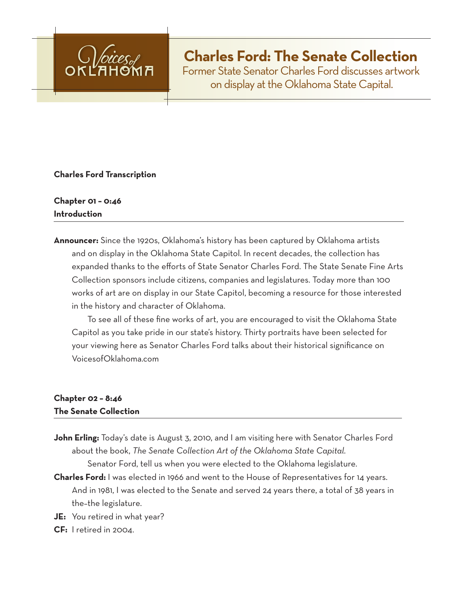

# **Charles Ford: The Senate Collection**

Former State Senator Charles Ford discusses artwork on display at the Oklahoma State Capital.

## **Charles Ford Transcription**

## **Chapter 01 – 0:46 Introduction**

**Announcer:** Since the 1920s, Oklahoma's history has been captured by Oklahoma artists and on display in the Oklahoma State Capitol. In recent decades, the collection has expanded thanks to the efforts of State Senator Charles Ford. The State Senate Fine Arts Collection sponsors include citizens, companies and legislatures. Today more than 100 works of art are on display in our State Capitol, becoming a resource for those interested in the history and character of Oklahoma.

 To see all of these fine works of art, you are encouraged to visit the Oklahoma State Capitol as you take pride in our state's history. Thirty portraits have been selected for your viewing here as Senator Charles Ford talks about their historical significance on VoicesofOklahoma.com

## **Chapter 02 – 8:46 The Senate Collection**

John Erling: Today's date is August 3, 2010, and I am visiting here with Senator Charles Ford about the book, *The Senate Collection Art of the Oklahoma State Capital*.

Senator Ford, tell us when you were elected to the Oklahoma legislature.

- **Charles Ford:** I was elected in 1966 and went to the House of Representatives for 14 years. And in 1981, I was elected to the Senate and served 24 years there, a total of 38 years in the–the legislature.
- **JE:** You retired in what year?
- **CF:** I retired in 2004.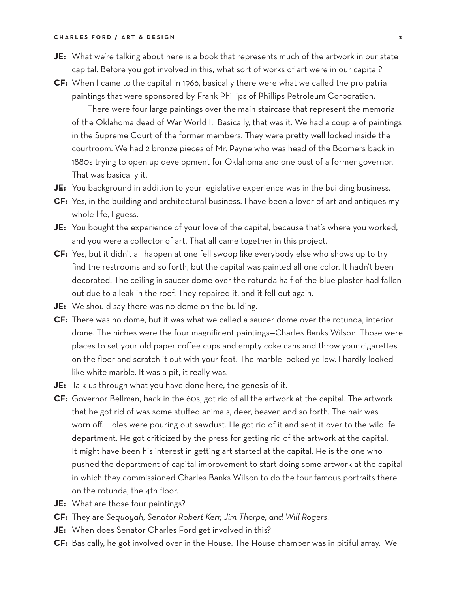- **JE:** What we're talking about here is a book that represents much of the artwork in our state capital. Before you got involved in this, what sort of works of art were in our capital?
- **CF:** When I came to the capital in 1966, basically there were what we called the pro patria paintings that were sponsored by Frank Phillips of Phillips Petroleum Corporation.

There were four large paintings over the main staircase that represent the memorial of the Oklahoma dead of War World I. Basically, that was it. We had a couple of paintings in the Supreme Court of the former members. They were pretty well locked inside the courtroom. We had 2 bronze pieces of Mr. Payne who was head of the Boomers back in 1880s trying to open up development for Oklahoma and one bust of a former governor. That was basically it.

- **JE:** You background in addition to your legislative experience was in the building business.
- **CF:** Yes, in the building and architectural business. I have been a lover of art and antiques my whole life, I guess.
- **JE:** You bought the experience of your love of the capital, because that's where you worked, and you were a collector of art. That all came together in this project.
- **CF:** Yes, but it didn't all happen at one fell swoop like everybody else who shows up to try find the restrooms and so forth, but the capital was painted all one color. It hadn't been decorated. The ceiling in saucer dome over the rotunda half of the blue plaster had fallen out due to a leak in the roof. They repaired it, and it fell out again.
- **JE:** We should say there was no dome on the building.
- **CF:** There was no dome, but it was what we called a saucer dome over the rotunda, interior dome. The niches were the four magnificent paintings—Charles Banks Wilson. Those were places to set your old paper coffee cups and empty coke cans and throw your cigarettes on the floor and scratch it out with your foot. The marble looked yellow. I hardly looked like white marble. It was a pit, it really was.
- **JE:** Talk us through what you have done here, the genesis of it.
- **CF:** Governor Bellman, back in the 60s, got rid of all the artwork at the capital. The artwork that he got rid of was some stuffed animals, deer, beaver, and so forth. The hair was worn off. Holes were pouring out sawdust. He got rid of it and sent it over to the wildlife department. He got criticized by the press for getting rid of the artwork at the capital. It might have been his interest in getting art started at the capital. He is the one who pushed the department of capital improvement to start doing some artwork at the capital in which they commissioned Charles Banks Wilson to do the four famous portraits there on the rotunda, the 4th floor.
- **JE:** What are those four paintings?
- **CF:** They are *Sequoyah, Senator Robert Kerr, Jim Thorpe, and Will Rogers*.
- **JE:** When does Senator Charles Ford get involved in this?
- **CF:** Basically, he got involved over in the House. The House chamber was in pitiful array. We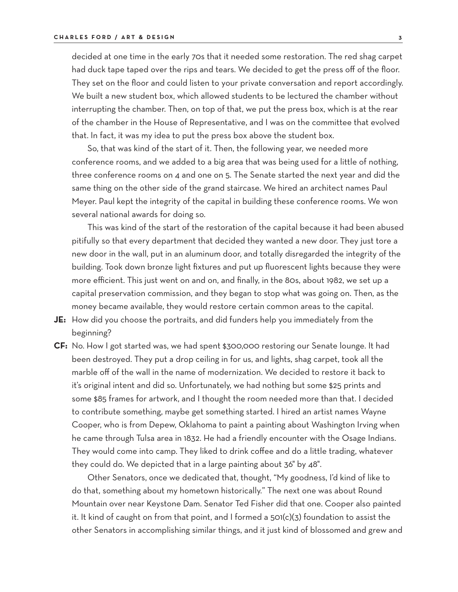decided at one time in the early 70s that it needed some restoration. The red shag carpet had duck tape taped over the rips and tears. We decided to get the press off of the floor. They set on the floor and could listen to your private conversation and report accordingly. We built a new student box, which allowed students to be lectured the chamber without interrupting the chamber. Then, on top of that, we put the press box, which is at the rear of the chamber in the House of Representative, and I was on the committee that evolved that. In fact, it was my idea to put the press box above the student box.

So, that was kind of the start of it. Then, the following year, we needed more conference rooms, and we added to a big area that was being used for a little of nothing, three conference rooms on 4 and one on 5. The Senate started the next year and did the same thing on the other side of the grand staircase. We hired an architect names Paul Meyer. Paul kept the integrity of the capital in building these conference rooms. We won several national awards for doing so.

 This was kind of the start of the restoration of the capital because it had been abused pitifully so that every department that decided they wanted a new door. They just tore a new door in the wall, put in an aluminum door, and totally disregarded the integrity of the building. Took down bronze light fixtures and put up fluorescent lights because they were more efficient. This just went on and on, and finally, in the 80s, about 1982, we set up a capital preservation commission, and they began to stop what was going on. Then, as the money became available, they would restore certain common areas to the capital.

- **JE:** How did you choose the portraits, and did funders help you immediately from the beginning?
- **CF:** No. How I got started was, we had spent \$300,000 restoring our Senate lounge. It had been destroyed. They put a drop ceiling in for us, and lights, shag carpet, took all the marble off of the wall in the name of modernization. We decided to restore it back to it's original intent and did so. Unfortunately, we had nothing but some \$25 prints and some \$85 frames for artwork, and I thought the room needed more than that. I decided to contribute something, maybe get something started. I hired an artist names Wayne Cooper, who is from Depew, Oklahoma to paint a painting about Washington Irving when he came through Tulsa area in 1832. He had a friendly encounter with the Osage Indians. They would come into camp. They liked to drink coffee and do a little trading, whatever they could do. We depicted that in a large painting about 36" by 48".

Other Senators, once we dedicated that, thought, "My goodness, I'd kind of like to do that, something about my hometown historically." The next one was about Round Mountain over near Keystone Dam. Senator Ted Fisher did that one. Cooper also painted it. It kind of caught on from that point, and I formed a 501(c)(3) foundation to assist the other Senators in accomplishing similar things, and it just kind of blossomed and grew and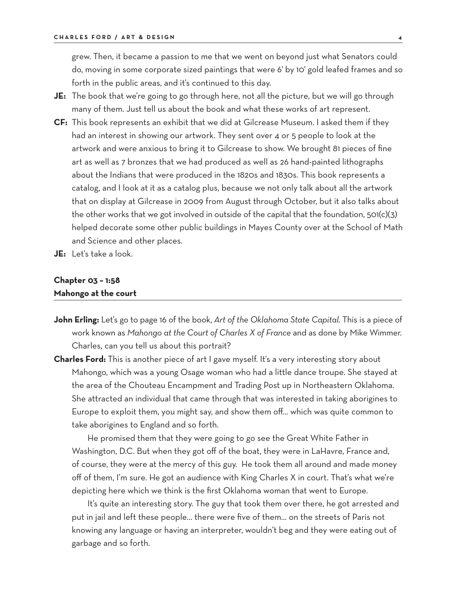grew. Then, it became a passion to me that we went on beyond just what Senators could do, moving in some corporate sized paintings that were 6' by 10' gold leafed frames and so forth in the public areas, and it's continued to this day.

- **JE:** The book that we're going to go through here, not all the picture, but we will go through many of them. Just tell us about the book and what these works of art represent.
- **CF:** This book represents an exhibit that we did at Gilcrease Museum. I asked them if they had an interest in showing our artwork. They sent over 4 or 5 people to look at the artwork and were anxious to bring it to Gilcrease to show. We brought 81 pieces of fine art as well as 7 bronzes that we had produced as well as 26 hand-painted lithographs about the Indians that were produced in the 1820s and 1830s. This book represents a catalog, and I look at it as a catalog plus, because we not only talk about all the artwork that on display at Gilcrease in 2009 from August through October, but it also talks about the other works that we got involved in outside of the capital that the foundation, 501(c)(3) helped decorate some other public buildings in Mayes County over at the School of Math and Science and other places.
- **JE:** Let's take a look.

#### **Chapter 03 – 1:58 Mahongo at the court**

- **John Erling:** Let's go to page 16 of the book, *Art of the Oklahoma State Capital*. This is a piece of work known as *Mahongo at the Court of Charles X of France* and as done by Mike Wimmer. Charles, can you tell us about this portrait?
- **Charles Ford:** This is another piece of art I gave myself. It's a very interesting story about Mahongo, which was a young Osage woman who had a little dance troupe. She stayed at the area of the Chouteau Encampment and Trading Post up in Northeastern Oklahoma. She attracted an individual that came through that was interested in taking aborigines to Europe to exploit them, you might say, and show them off… which was quite common to take aborigines to England and so forth.

 He promised them that they were going to go see the Great White Father in Washington, D.C. But when they got off of the boat, they were in LaHavre, France and, of course, they were at the mercy of this guy. He took them all around and made money off of them, I'm sure. He got an audience with King Charles X in court. That's what we're depicting here which we think is the first Oklahoma woman that went to Europe.

It's quite an interesting story. The guy that took them over there, he got arrested and put in jail and left these people… there were five of them… on the streets of Paris not knowing any language or having an interpreter, wouldn't beg and they were eating out of garbage and so forth.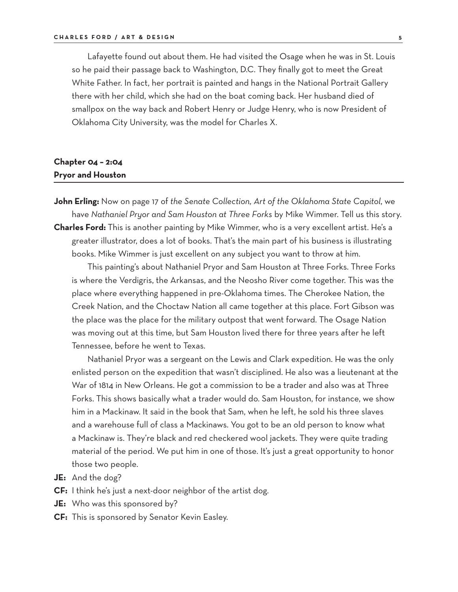Lafayette found out about them. He had visited the Osage when he was in St. Louis so he paid their passage back to Washington, D.C. They finally got to meet the Great White Father. In fact, her portrait is painted and hangs in the National Portrait Gallery there with her child, which she had on the boat coming back. Her husband died of smallpox on the way back and Robert Henry or Judge Henry, who is now President of Oklahoma City University, was the model for Charles X.

## **Chapter 04 – 2:04 Pryor and Houston**

**John Erling:** Now on page 17 of *the Senate Collection, Art of the Oklahoma State Capitol*, we have *Nathaniel Pryor and Sam Houston at Three Forks* by Mike Wimmer. Tell us this story. **Charles Ford:** This is another painting by Mike Wimmer, who is a very excellent artist. He's a

greater illustrator, does a lot of books. That's the main part of his business is illustrating books. Mike Wimmer is just excellent on any subject you want to throw at him.

This painting's about Nathaniel Pryor and Sam Houston at Three Forks. Three Forks is where the Verdigris, the Arkansas, and the Neosho River come together. This was the place where everything happened in pre-Oklahoma times. The Cherokee Nation, the Creek Nation, and the Choctaw Nation all came together at this place. Fort Gibson was the place was the place for the military outpost that went forward. The Osage Nation was moving out at this time, but Sam Houston lived there for three years after he left Tennessee, before he went to Texas.

 Nathaniel Pryor was a sergeant on the Lewis and Clark expedition. He was the only enlisted person on the expedition that wasn't disciplined. He also was a lieutenant at the War of 1814 in New Orleans. He got a commission to be a trader and also was at Three Forks. This shows basically what a trader would do. Sam Houston, for instance, we show him in a Mackinaw. It said in the book that Sam, when he left, he sold his three slaves and a warehouse full of class a Mackinaws. You got to be an old person to know what a Mackinaw is. They're black and red checkered wool jackets. They were quite trading material of the period. We put him in one of those. It's just a great opportunity to honor those two people.

- **JE:** And the dog?
- **CF:** I think he's just a next-door neighbor of the artist dog.
- **JE:** Who was this sponsored by?
- **CF:** This is sponsored by Senator Kevin Easley.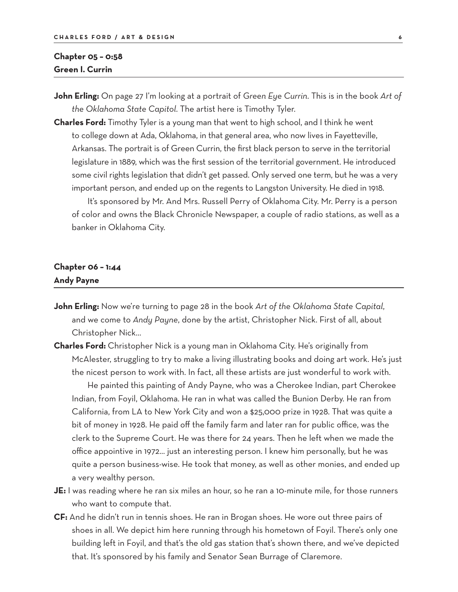### **Chapter 05 – 0:58 Green I. Currin**

**John Erling:** On page 27 I'm looking at a portrait of *Green Eye Currin*. This is in the book *Art of the Oklahoma State Capitol*. The artist here is Timothy Tyler.

**Charles Ford:** Timothy Tyler is a young man that went to high school, and I think he went to college down at Ada, Oklahoma, in that general area, who now lives in Fayetteville, Arkansas. The portrait is of Green Currin, the first black person to serve in the territorial legislature in 1889, which was the first session of the territorial government. He introduced some civil rights legislation that didn't get passed. Only served one term, but he was a very important person, and ended up on the regents to Langston University. He died in 1918.

 It's sponsored by Mr. And Mrs. Russell Perry of Oklahoma City. Mr. Perry is a person of color and owns the Black Chronicle Newspaper, a couple of radio stations, as well as a banker in Oklahoma City.

## **Chapter 06 – 1:44 Andy Payne**

- **John Erling:** Now we're turning to page 28 in the book *Art of the Oklahoma State Capital*, and we come to *Andy Payne*, done by the artist, Christopher Nick. First of all, about Christopher Nick…
- **Charles Ford:** Christopher Nick is a young man in Oklahoma City. He's originally from McAlester, struggling to try to make a living illustrating books and doing art work. He's just the nicest person to work with. In fact, all these artists are just wonderful to work with.

 He painted this painting of Andy Payne, who was a Cherokee Indian, part Cherokee Indian, from Foyil, Oklahoma. He ran in what was called the Bunion Derby. He ran from California, from LA to New York City and won a \$25,000 prize in 1928. That was quite a bit of money in 1928. He paid off the family farm and later ran for public office, was the clerk to the Supreme Court. He was there for 24 years. Then he left when we made the office appointive in 1972… just an interesting person. I knew him personally, but he was quite a person business-wise. He took that money, as well as other monies, and ended up a very wealthy person.

- **JE:** I was reading where he ran six miles an hour, so he ran a 10-minute mile, for those runners who want to compute that.
- **CF:** And he didn't run in tennis shoes. He ran in Brogan shoes. He wore out three pairs of shoes in all. We depict him here running through his hometown of Foyil. There's only one building left in Foyil, and that's the old gas station that's shown there, and we've depicted that. It's sponsored by his family and Senator Sean Burrage of Claremore.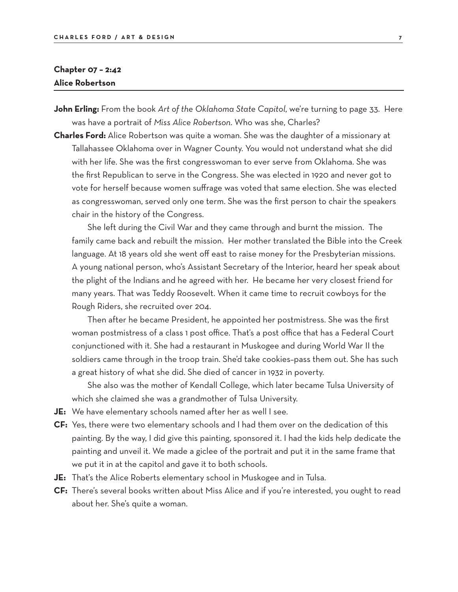## **Chapter 07 – 2:42 Alice Robertson**

- **John Erling:** From the book *Art of the Oklahoma State Capitol*, we're turning to page 33. Here was have a portrait of *Miss Alice Robertson*. Who was she, Charles?
- **Charles Ford:** Alice Robertson was quite a woman. She was the daughter of a missionary at Tallahassee Oklahoma over in Wagner County. You would not understand what she did with her life. She was the first congresswoman to ever serve from Oklahoma. She was the first Republican to serve in the Congress. She was elected in 1920 and never got to vote for herself because women suffrage was voted that same election. She was elected as congresswoman, served only one term. She was the first person to chair the speakers chair in the history of the Congress.

 She left during the Civil War and they came through and burnt the mission. The family came back and rebuilt the mission. Her mother translated the Bible into the Creek language. At 18 years old she went off east to raise money for the Presbyterian missions. A young national person, who's Assistant Secretary of the Interior, heard her speak about the plight of the Indians and he agreed with her. He became her very closest friend for many years. That was Teddy Roosevelt. When it came time to recruit cowboys for the Rough Riders, she recruited over 204.

Then after he became President, he appointed her postmistress. She was the first woman postmistress of a class 1 post office. That's a post office that has a Federal Court conjunctioned with it. She had a restaurant in Muskogee and during World War II the soldiers came through in the troop train. She'd take cookies–pass them out. She has such a great history of what she did. She died of cancer in 1932 in poverty.

 She also was the mother of Kendall College, which later became Tulsa University of which she claimed she was a grandmother of Tulsa University.

- **JE:** We have elementary schools named after her as well I see.
- **CF:** Yes, there were two elementary schools and I had them over on the dedication of this painting. By the way, I did give this painting, sponsored it. I had the kids help dedicate the painting and unveil it. We made a giclee of the portrait and put it in the same frame that we put it in at the capitol and gave it to both schools.
- **JE:** That's the Alice Roberts elementary school in Muskogee and in Tulsa.
- **CF:** There's several books written about Miss Alice and if you're interested, you ought to read about her. She's quite a woman.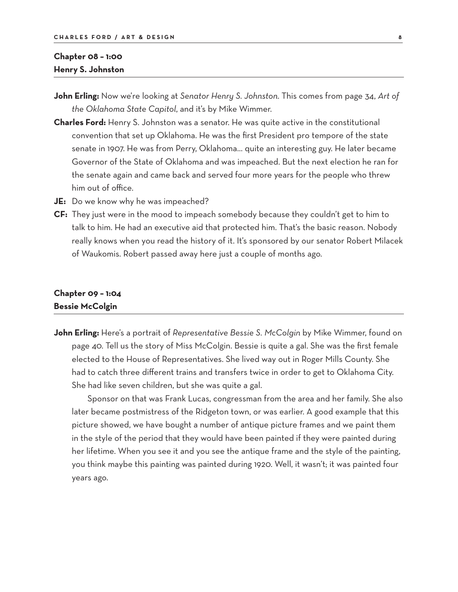## **Chapter 08 – 1:00 Henry S. Johnston**

- **John Erling:** Now we're looking at *Senator Henry S. Johnston*. This comes from page 34, *Art of the Oklahoma State Capitol*, and it's by Mike Wimmer.
- **Charles Ford:** Henry S. Johnston was a senator. He was quite active in the constitutional convention that set up Oklahoma. He was the first President pro tempore of the state senate in 1907. He was from Perry, Oklahoma… quite an interesting guy. He later became Governor of the State of Oklahoma and was impeached. But the next election he ran for the senate again and came back and served four more years for the people who threw him out of office.
- **JE:** Do we know why he was impeached?
- **CF:** They just were in the mood to impeach somebody because they couldn't get to him to talk to him. He had an executive aid that protected him. That's the basic reason. Nobody really knows when you read the history of it. It's sponsored by our senator Robert Milacek of Waukomis. Robert passed away here just a couple of months ago.

#### **Chapter 09 – 1:04 Bessie McColgin**

**John Erling:** Here's a portrait of *Representative Bessie S. McColgin* by Mike Wimmer, found on page 40. Tell us the story of Miss McColgin. Bessie is quite a gal. She was the first female elected to the House of Representatives. She lived way out in Roger Mills County. She had to catch three different trains and transfers twice in order to get to Oklahoma City. She had like seven children, but she was quite a gal.

 Sponsor on that was Frank Lucas, congressman from the area and her family. She also later became postmistress of the Ridgeton town, or was earlier. A good example that this picture showed, we have bought a number of antique picture frames and we paint them in the style of the period that they would have been painted if they were painted during her lifetime. When you see it and you see the antique frame and the style of the painting, you think maybe this painting was painted during 1920. Well, it wasn't; it was painted four years ago.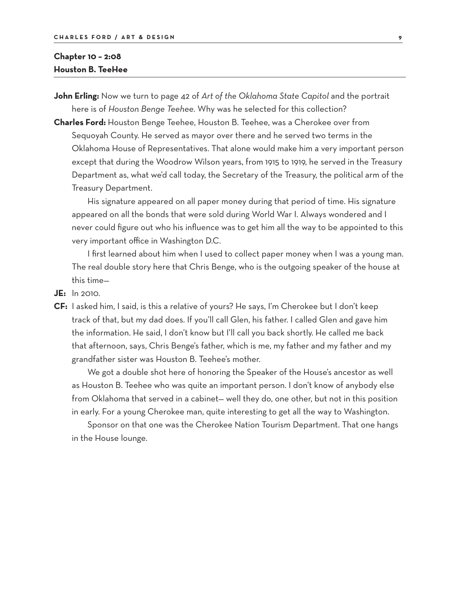#### **Chapter 10 – 2:08 Houston B. TeeHee**

**John Erling:** Now we turn to page 42 of *Art of the Oklahoma State Capitol* and the portrait here is of *Houston Benge Teehee.* Why was he selected for this collection?

**Charles Ford:** Houston Benge Teehee, Houston B. Teehee, was a Cherokee over from Sequoyah County. He served as mayor over there and he served two terms in the Oklahoma House of Representatives. That alone would make him a very important person except that during the Woodrow Wilson years, from 1915 to 1919, he served in the Treasury Department as, what we'd call today, the Secretary of the Treasury, the political arm of the Treasury Department.

 His signature appeared on all paper money during that period of time. His signature appeared on all the bonds that were sold during World War I. Always wondered and I never could figure out who his influence was to get him all the way to be appointed to this very important office in Washington D.C.

 I first learned about him when I used to collect paper money when I was a young man. The real double story here that Chris Benge, who is the outgoing speaker of the house at this time—

- **JE:** In 2010.
- **CF:** I asked him, I said, is this a relative of yours? He says, I'm Cherokee but I don't keep track of that, but my dad does. If you'll call Glen, his father. I called Glen and gave him the information. He said, I don't know but I'll call you back shortly. He called me back that afternoon, says, Chris Benge's father, which is me, my father and my father and my grandfather sister was Houston B. Teehee's mother.

 We got a double shot here of honoring the Speaker of the House's ancestor as well as Houston B. Teehee who was quite an important person. I don't know of anybody else from Oklahoma that served in a cabinet— well they do, one other, but not in this position in early. For a young Cherokee man, quite interesting to get all the way to Washington.

 Sponsor on that one was the Cherokee Nation Tourism Department. That one hangs in the House lounge.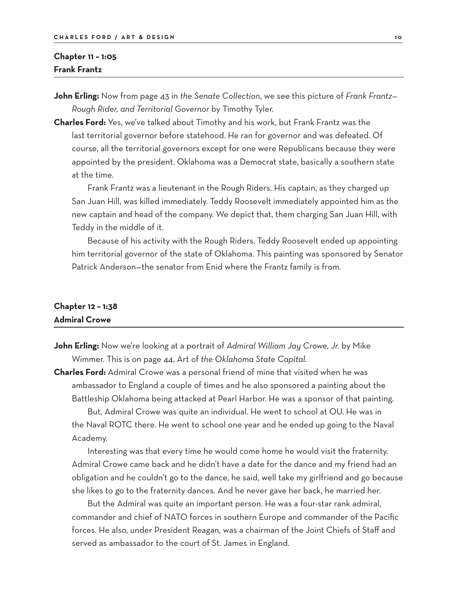### **Chapter 11 – 1:05 Frank Frantz**

**John Erling:** Now from page 43 in *the Senate Collection*, we see this picture of *Frank Frantz— Rough Rider, and Territorial Governor* by Timothy Tyler.

**Charles Ford:** Yes, we've talked about Timothy and his work, but Frank Frantz was the last territorial governor before statehood. He ran for governor and was defeated. Of course, all the territorial governors except for one were Republicans because they were appointed by the president. Oklahoma was a Democrat state, basically a southern state at the time.

 Frank Frantz was a lieutenant in the Rough Riders. His captain, as they charged up San Juan Hill, was killed immediately. Teddy Roosevelt immediately appointed him as the new captain and head of the company. We depict that, them charging San Juan Hill, with Teddy in the middle of it.

 Because of his activity with the Rough Riders, Teddy Roosevelt ended up appointing him territorial governor of the state of Oklahoma. This painting was sponsored by Senator Patrick Anderson—the senator from Enid where the Frantz family is from.

#### **Chapter 12 – 1:38 Admiral Crowe**

**John Erling:** Now we're looking at a portrait of *Admiral William Jay Crowe, Jr.* by Mike Wimmer. This is on page 44, Art of *the Oklahoma State Capital*.

**Charles Ford:** Admiral Crowe was a personal friend of mine that visited when he was ambassador to England a couple of times and he also sponsored a painting about the Battleship Oklahoma being attacked at Pearl Harbor. He was a sponsor of that painting.

 But, Admiral Crowe was quite an individual. He went to school at OU. He was in the Naval ROTC there. He went to school one year and he ended up going to the Naval Academy.

 Interesting was that every time he would come home he would visit the fraternity. Admiral Crowe came back and he didn't have a date for the dance and my friend had an obligation and he couldn't go to the dance, he said, well take my girlfriend and go because she likes to go to the fraternity dances. And he never gave her back, he married her.

 But the Admiral was quite an important person. He was a four-star rank admiral, commander and chief of NATO forces in southern Europe and commander of the Pacific forces. He also, under President Reagan, was a chairman of the Joint Chiefs of Staff and served as ambassador to the court of St. James in England.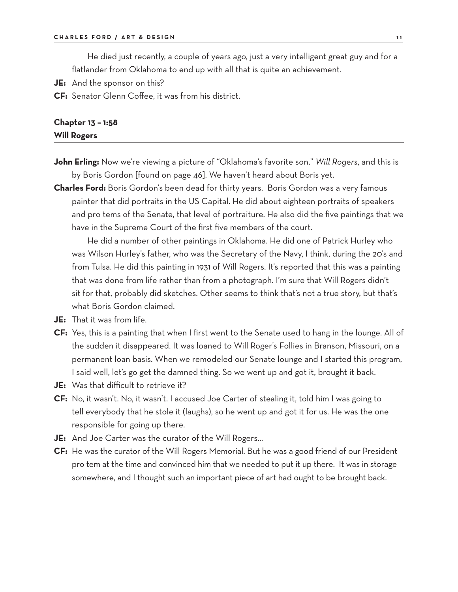He died just recently, a couple of years ago, just a very intelligent great guy and for a flatlander from Oklahoma to end up with all that is quite an achievement.

**JE:** And the sponsor on this?

**CF:** Senator Glenn Coffee, it was from his district.

## **Chapter 13 – 1:58 Will Rogers**

- **John Erling:** Now we're viewing a picture of "Oklahoma's favorite son," *Will Rogers*, and this is by Boris Gordon [found on page 46]. We haven't heard about Boris yet.
- **Charles Ford:** Boris Gordon's been dead for thirty years. Boris Gordon was a very famous painter that did portraits in the US Capital. He did about eighteen portraits of speakers and pro tems of the Senate, that level of portraiture. He also did the five paintings that we have in the Supreme Court of the first five members of the court.

 He did a number of other paintings in Oklahoma. He did one of Patrick Hurley who was Wilson Hurley's father, who was the Secretary of the Navy, I think, during the 20's and from Tulsa. He did this painting in 1931 of Will Rogers. It's reported that this was a painting that was done from life rather than from a photograph. I'm sure that Will Rogers didn't sit for that, probably did sketches. Other seems to think that's not a true story, but that's what Boris Gordon claimed.

- **JE:** That it was from life.
- **CF:** Yes, this is a painting that when I first went to the Senate used to hang in the lounge. All of the sudden it disappeared. It was loaned to Will Roger's Follies in Branson, Missouri, on a permanent loan basis. When we remodeled our Senate lounge and I started this program, I said well, let's go get the damned thing. So we went up and got it, brought it back.
- **JE:** Was that difficult to retrieve it?
- **CF:** No, it wasn't. No, it wasn't. I accused Joe Carter of stealing it, told him I was going to tell everybody that he stole it (laughs), so he went up and got it for us. He was the one responsible for going up there.
- **JE:** And Joe Carter was the curator of the Will Rogers…
- **CF:** He was the curator of the Will Rogers Memorial. But he was a good friend of our President pro tem at the time and convinced him that we needed to put it up there. It was in storage somewhere, and I thought such an important piece of art had ought to be brought back.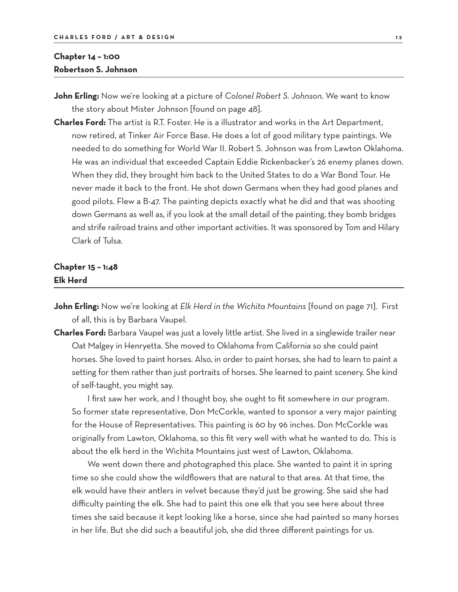#### **Chapter 14 – 1:00 Robertson S. Johnson**

**John Erling:** Now we're looking at a picture of *Colonel Robert S. Johnson*. We want to know the story about Mister Johnson [found on page 48].

**Charles Ford:** The artist is R.T. Foster. He is a illustrator and works in the Art Department, now retired, at Tinker Air Force Base. He does a lot of good military type paintings. We needed to do something for World War II. Robert S. Johnson was from Lawton Oklahoma. He was an individual that exceeded Captain Eddie Rickenbacker's 26 enemy planes down. When they did, they brought him back to the United States to do a War Bond Tour. He never made it back to the front. He shot down Germans when they had good planes and good pilots. Flew a B-47. The painting depicts exactly what he did and that was shooting down Germans as well as, if you look at the small detail of the painting, they bomb bridges and strife railroad trains and other important activities. It was sponsored by Tom and Hilary Clark of Tulsa.

## **Chapter 15 – 1:48 Elk Herd**

- **John Erling:** Now we're looking at *Elk Herd in the Wichita Mountains* [found on page 71]. First of all, this is by Barbara Vaupel.
- **Charles Ford:** Barbara Vaupel was just a lovely little artist. She lived in a singlewide trailer near Oat Malgey in Henryetta. She moved to Oklahoma from California so she could paint horses. She loved to paint horses. Also, in order to paint horses, she had to learn to paint a setting for them rather than just portraits of horses. She learned to paint scenery. She kind of self-taught, you might say.

 I first saw her work, and I thought boy, she ought to fit somewhere in our program. So former state representative, Don McCorkle, wanted to sponsor a very major painting for the House of Representatives. This painting is 60 by 96 inches. Don McCorkle was originally from Lawton, Oklahoma, so this fit very well with what he wanted to do. This is about the elk herd in the Wichita Mountains just west of Lawton, Oklahoma.

 We went down there and photographed this place. She wanted to paint it in spring time so she could show the wildflowers that are natural to that area. At that time, the elk would have their antlers in velvet because they'd just be growing. She said she had difficulty painting the elk. She had to paint this one elk that you see here about three times she said because it kept looking like a horse, since she had painted so many horses in her life. But she did such a beautiful job, she did three different paintings for us.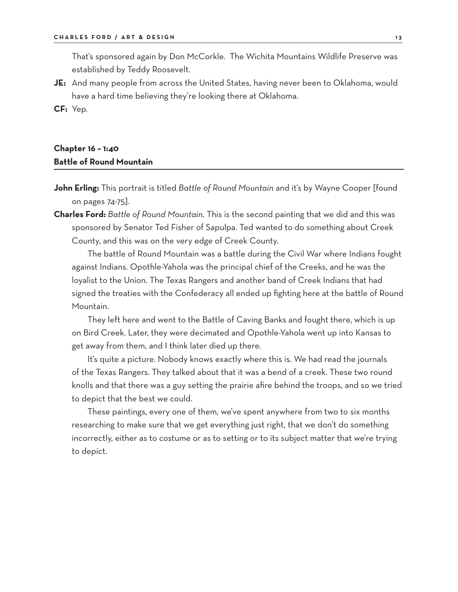That's sponsored again by Don McCorkle. The Wichita Mountains Wildlife Preserve was established by Teddy Roosevelt.

**JE:** And many people from across the United States, having never been to Oklahoma, would have a hard time believing they're looking there at Oklahoma.

**CF:** Yep.

## **Chapter 16 – 1:40 Battle of Round Mountain**

- **John Erling:** This portrait is titled *Battle of Round Mountain* and it's by Wayne Cooper [found on pages 74-75].
- **Charles Ford:** *Battle of Round Mountain*. This is the second painting that we did and this was sponsored by Senator Ted Fisher of Sapulpa. Ted wanted to do something about Creek County, and this was on the very edge of Creek County.

 The battle of Round Mountain was a battle during the Civil War where Indians fought against Indians. Opothle-Yahola was the principal chief of the Creeks, and he was the loyalist to the Union. The Texas Rangers and another band of Creek Indians that had signed the treaties with the Confederacy all ended up fighting here at the battle of Round Mountain.

 They left here and went to the Battle of Caving Banks and fought there, which is up on Bird Creek. Later, they were decimated and Opothle-Yahola went up into Kansas to get away from them, and I think later died up there.

 It's quite a picture. Nobody knows exactly where this is. We had read the journals of the Texas Rangers. They talked about that it was a bend of a creek. These two round knolls and that there was a guy setting the prairie afire behind the troops, and so we tried to depict that the best we could.

 These paintings, every one of them, we've spent anywhere from two to six months researching to make sure that we get everything just right, that we don't do something incorrectly, either as to costume or as to setting or to its subject matter that we're trying to depict.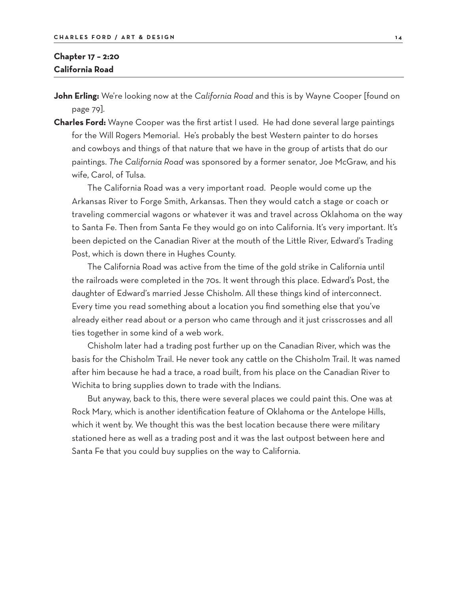### **Chapter 17 – 2:20 California Road**

**John Erling:** We're looking now at the *California Road* and this is by Wayne Cooper [found on page 79].

**Charles Ford:** Wayne Cooper was the first artist I used. He had done several large paintings for the Will Rogers Memorial. He's probably the best Western painter to do horses and cowboys and things of that nature that we have in the group of artists that do our paintings. *The California Road* was sponsored by a former senator, Joe McGraw, and his wife, Carol, of Tulsa.

 The California Road was a very important road. People would come up the Arkansas River to Forge Smith, Arkansas. Then they would catch a stage or coach or traveling commercial wagons or whatever it was and travel across Oklahoma on the way to Santa Fe. Then from Santa Fe they would go on into California. It's very important. It's been depicted on the Canadian River at the mouth of the Little River, Edward's Trading Post, which is down there in Hughes County.

 The California Road was active from the time of the gold strike in California until the railroads were completed in the 70s. It went through this place. Edward's Post, the daughter of Edward's married Jesse Chisholm. All these things kind of interconnect. Every time you read something about a location you find something else that you've already either read about or a person who came through and it just crisscrosses and all ties together in some kind of a web work.

 Chisholm later had a trading post further up on the Canadian River, which was the basis for the Chisholm Trail. He never took any cattle on the Chisholm Trail. It was named after him because he had a trace, a road built, from his place on the Canadian River to Wichita to bring supplies down to trade with the Indians.

 But anyway, back to this, there were several places we could paint this. One was at Rock Mary, which is another identification feature of Oklahoma or the Antelope Hills, which it went by. We thought this was the best location because there were military stationed here as well as a trading post and it was the last outpost between here and Santa Fe that you could buy supplies on the way to California.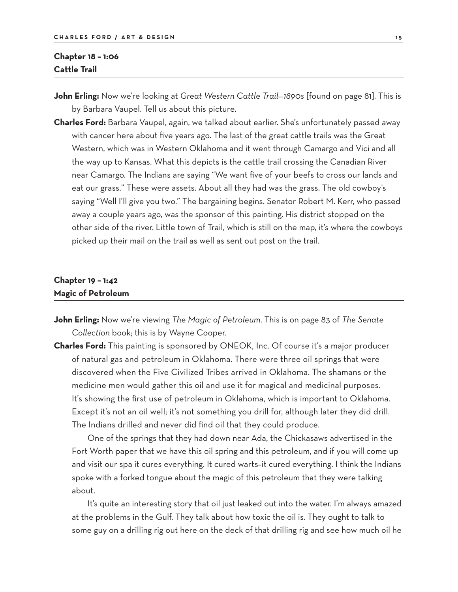#### **Chapter 18 – 1:06 Cattle Trail**

**John Erling:** Now we're looking at *Great Western Cattle Trail—1890s* [found on page 81]. This is by Barbara Vaupel. Tell us about this picture.

**Charles Ford:** Barbara Vaupel, again, we talked about earlier. She's unfortunately passed away with cancer here about five years ago. The last of the great cattle trails was the Great Western, which was in Western Oklahoma and it went through Camargo and Vici and all the way up to Kansas. What this depicts is the cattle trail crossing the Canadian River near Camargo. The Indians are saying "We want five of your beefs to cross our lands and eat our grass." These were assets. About all they had was the grass. The old cowboy's saying "Well I'll give you two." The bargaining begins. Senator Robert M. Kerr, who passed away a couple years ago, was the sponsor of this painting. His district stopped on the other side of the river. Little town of Trail, which is still on the map, it's where the cowboys picked up their mail on the trail as well as sent out post on the trail.

#### **Chapter 19 – 1:42 Magic of Petroleum**

- **John Erling:** Now we're viewing *The Magic of Petroleum*. This is on page 83 of *The Senate Collection* book; this is by Wayne Cooper.
- **Charles Ford:** This painting is sponsored by ONEOK, Inc. Of course it's a major producer of natural gas and petroleum in Oklahoma. There were three oil springs that were discovered when the Five Civilized Tribes arrived in Oklahoma. The shamans or the medicine men would gather this oil and use it for magical and medicinal purposes. It's showing the first use of petroleum in Oklahoma, which is important to Oklahoma. Except it's not an oil well; it's not something you drill for, although later they did drill. The Indians drilled and never did find oil that they could produce.

 One of the springs that they had down near Ada, the Chickasaws advertised in the Fort Worth paper that we have this oil spring and this petroleum, and if you will come up and visit our spa it cures everything. It cured warts–it cured everything. I think the Indians spoke with a forked tongue about the magic of this petroleum that they were talking about.

 It's quite an interesting story that oil just leaked out into the water. I'm always amazed at the problems in the Gulf. They talk about how toxic the oil is. They ought to talk to some guy on a drilling rig out here on the deck of that drilling rig and see how much oil he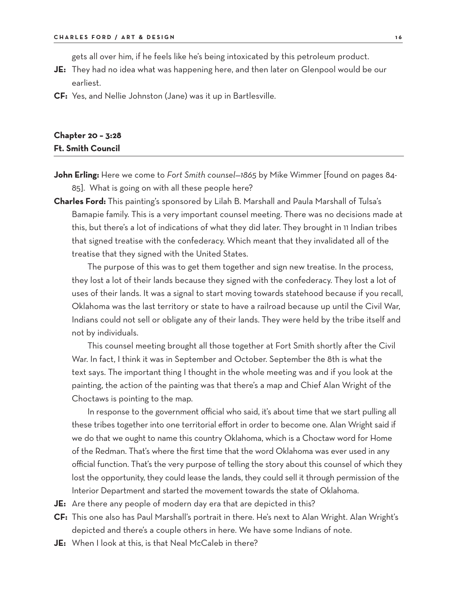gets all over him, if he feels like he's being intoxicated by this petroleum product.

- **JE:** They had no idea what was happening here, and then later on Glenpool would be our earliest.
- **CF:** Yes, and Nellie Johnston (Jane) was it up in Bartlesville.

#### **Chapter 20 – 3:28 Ft. Smith Council**

- **John Erling:** Here we come to *Fort Smith counsel—1865* by Mike Wimmer [found on pages 84- 85]. What is going on with all these people here?
- **Charles Ford:** This painting's sponsored by Lilah B. Marshall and Paula Marshall of Tulsa's Bamapie family. This is a very important counsel meeting. There was no decisions made at this, but there's a lot of indications of what they did later. They brought in 11 Indian tribes that signed treatise with the confederacy. Which meant that they invalidated all of the treatise that they signed with the United States.

 The purpose of this was to get them together and sign new treatise. In the process, they lost a lot of their lands because they signed with the confederacy. They lost a lot of uses of their lands. It was a signal to start moving towards statehood because if you recall, Oklahoma was the last territory or state to have a railroad because up until the Civil War, Indians could not sell or obligate any of their lands. They were held by the tribe itself and not by individuals.

 This counsel meeting brought all those together at Fort Smith shortly after the Civil War. In fact, I think it was in September and October. September the 8th is what the text says. The important thing I thought in the whole meeting was and if you look at the painting, the action of the painting was that there's a map and Chief Alan Wright of the Choctaws is pointing to the map.

 In response to the government official who said, it's about time that we start pulling all these tribes together into one territorial effort in order to become one. Alan Wright said if we do that we ought to name this country Oklahoma, which is a Choctaw word for Home of the Redman. That's where the first time that the word Oklahoma was ever used in any official function. That's the very purpose of telling the story about this counsel of which they lost the opportunity, they could lease the lands, they could sell it through permission of the Interior Department and started the movement towards the state of Oklahoma.

- **JE:** Are there any people of modern day era that are depicted in this?
- **CF:** This one also has Paul Marshall's portrait in there. He's next to Alan Wright. Alan Wright's depicted and there's a couple others in here. We have some Indians of note.
- **JE:** When I look at this, is that Neal McCaleb in there?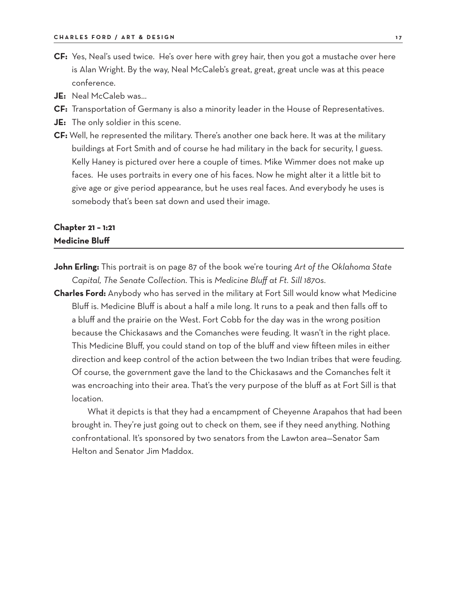- **CF:** Yes, Neal's used twice. He's over here with grey hair, then you got a mustache over here is Alan Wright. By the way, Neal McCaleb's great, great, great uncle was at this peace conference.
- **JE:** Neal McCaleb was…
- **CF:** Transportation of Germany is also a minority leader in the House of Representatives.
- **JE:** The only soldier in this scene.
- **CF:** Well, he represented the military. There's another one back here. It was at the military buildings at Fort Smith and of course he had military in the back for security, I guess. Kelly Haney is pictured over here a couple of times. Mike Wimmer does not make up faces. He uses portraits in every one of his faces. Now he might alter it a little bit to give age or give period appearance, but he uses real faces. And everybody he uses is somebody that's been sat down and used their image.

## **Chapter 21 – 1:21 Medicine Bluff**

- **John Erling:** This portrait is on page 87 of the book we're touring *Art of the Oklahoma State Capital, The Senate Collection*. This is *Medicine Bluff at Ft. Sill 1870s*.
- **Charles Ford:** Anybody who has served in the military at Fort Sill would know what Medicine Bluff is. Medicine Bluff is about a half a mile long. It runs to a peak and then falls off to a bluff and the prairie on the West. Fort Cobb for the day was in the wrong position because the Chickasaws and the Comanches were feuding. It wasn't in the right place. This Medicine Bluff, you could stand on top of the bluff and view fifteen miles in either direction and keep control of the action between the two Indian tribes that were feuding. Of course, the government gave the land to the Chickasaws and the Comanches felt it was encroaching into their area. That's the very purpose of the bluff as at Fort Sill is that location.

 What it depicts is that they had a encampment of Cheyenne Arapahos that had been brought in. They're just going out to check on them, see if they need anything. Nothing confrontational. It's sponsored by two senators from the Lawton area—Senator Sam Helton and Senator Jim Maddox.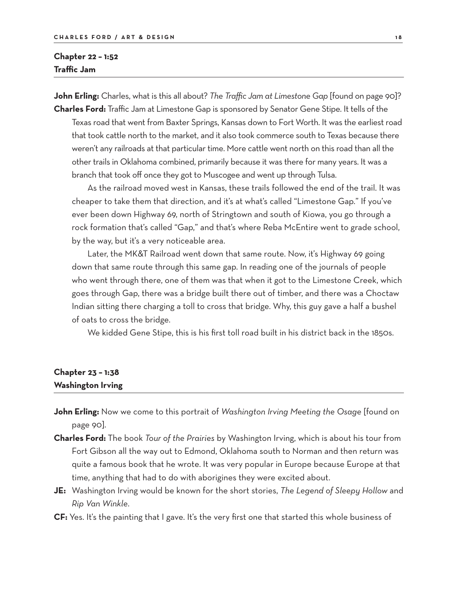#### **Chapter 22 – 1:52 Traffic Jam**

**John Erling:** Charles, what is this all about? *The Traffic Jam at Limestone Gap* [found on page 90]? **Charles Ford:** Traffic Jam at Limestone Gap is sponsored by Senator Gene Stipe. It tells of the

Texas road that went from Baxter Springs, Kansas down to Fort Worth. It was the earliest road that took cattle north to the market, and it also took commerce south to Texas because there weren't any railroads at that particular time. More cattle went north on this road than all the other trails in Oklahoma combined, primarily because it was there for many years. It was a branch that took off once they got to Muscogee and went up through Tulsa.

 As the railroad moved west in Kansas, these trails followed the end of the trail. It was cheaper to take them that direction, and it's at what's called "Limestone Gap." If you've ever been down Highway 69, north of Stringtown and south of Kiowa, you go through a rock formation that's called "Gap," and that's where Reba McEntire went to grade school, by the way, but it's a very noticeable area.

 Later, the MK&T Railroad went down that same route. Now, it's Highway 69 going down that same route through this same gap. In reading one of the journals of people who went through there, one of them was that when it got to the Limestone Creek, which goes through Gap, there was a bridge built there out of timber, and there was a Choctaw Indian sitting there charging a toll to cross that bridge. Why, this guy gave a half a bushel of oats to cross the bridge.

We kidded Gene Stipe, this is his first toll road built in his district back in the 1850s.

## **Chapter 23 – 1:38 Washington Irving**

- **John Erling:** Now we come to this portrait of *Washington Irving Meeting the Osage* [found on page 90].
- **Charles Ford:** The book *Tour of the Prairies* by Washington Irving, which is about his tour from Fort Gibson all the way out to Edmond, Oklahoma south to Norman and then return was quite a famous book that he wrote. It was very popular in Europe because Europe at that time, anything that had to do with aborigines they were excited about.
- **JE:** Washington Irving would be known for the short stories, *The Legend of Sleepy Hollow* and *Rip Van Winkle*.
- **CF:** Yes. It's the painting that I gave. It's the very first one that started this whole business of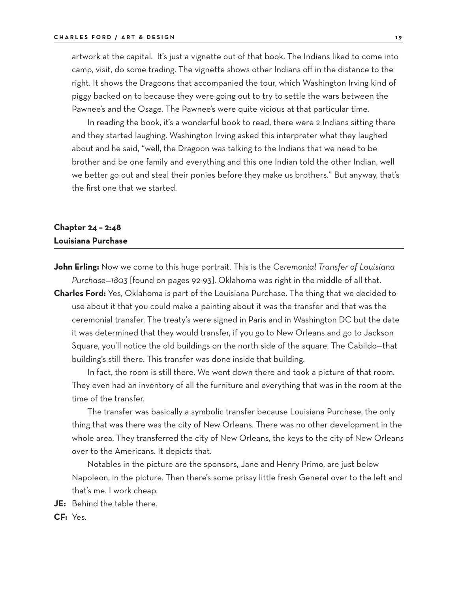artwork at the capital. It's just a vignette out of that book. The Indians liked to come into camp, visit, do some trading. The vignette shows other Indians off in the distance to the right. It shows the Dragoons that accompanied the tour, which Washington Irving kind of piggy backed on to because they were going out to try to settle the wars between the Pawnee's and the Osage. The Pawnee's were quite vicious at that particular time.

 In reading the book, it's a wonderful book to read, there were 2 Indians sitting there and they started laughing. Washington Irving asked this interpreter what they laughed about and he said, "well, the Dragoon was talking to the Indians that we need to be brother and be one family and everything and this one Indian told the other Indian, well we better go out and steal their ponies before they make us brothers." But anyway, that's the first one that we started.

## **Chapter 24 – 2:48 Louisiana Purchase**

**John Erling:** Now we come to this huge portrait. This is the *Ceremonial Transfer of Louisiana Purchase—1803* [found on pages 92-93]. Oklahoma was right in the middle of all that.

**Charles Ford:** Yes, Oklahoma is part of the Louisiana Purchase. The thing that we decided to use about it that you could make a painting about it was the transfer and that was the ceremonial transfer. The treaty's were signed in Paris and in Washington DC but the date it was determined that they would transfer, if you go to New Orleans and go to Jackson Square, you'll notice the old buildings on the north side of the square. The Cabildo—that building's still there. This transfer was done inside that building.

 In fact, the room is still there. We went down there and took a picture of that room. They even had an inventory of all the furniture and everything that was in the room at the time of the transfer.

 The transfer was basically a symbolic transfer because Louisiana Purchase, the only thing that was there was the city of New Orleans. There was no other development in the whole area. They transferred the city of New Orleans, the keys to the city of New Orleans over to the Americans. It depicts that.

 Notables in the picture are the sponsors, Jane and Henry Primo, are just below Napoleon, in the picture. Then there's some prissy little fresh General over to the left and that's me. I work cheap.

**JE:** Behind the table there.

**CF:** Yes.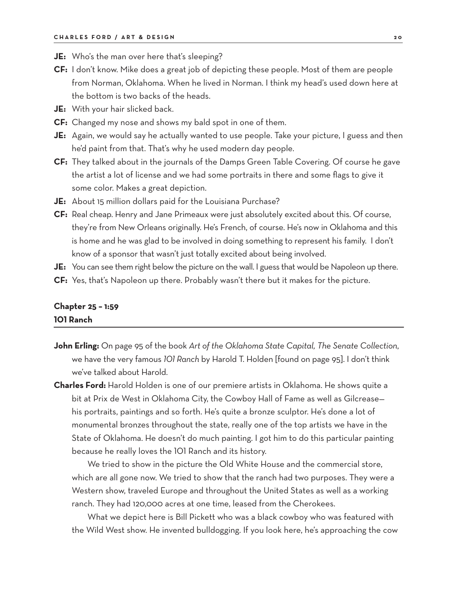- **JE:** Who's the man over here that's sleeping?
- **CF:** I don't know. Mike does a great job of depicting these people. Most of them are people from Norman, Oklahoma. When he lived in Norman. I think my head's used down here at the bottom is two backs of the heads.
- **JE:** With your hair slicked back.
- **CF:** Changed my nose and shows my bald spot in one of them.
- **JE:** Again, we would say he actually wanted to use people. Take your picture, I guess and then he'd paint from that. That's why he used modern day people.
- **CF:** They talked about in the journals of the Damps Green Table Covering. Of course he gave the artist a lot of license and we had some portraits in there and some flags to give it some color. Makes a great depiction.
- **JE:** About 15 million dollars paid for the Louisiana Purchase?
- **CF:** Real cheap. Henry and Jane Primeaux were just absolutely excited about this. Of course, they're from New Orleans originally. He's French, of course. He's now in Oklahoma and this is home and he was glad to be involved in doing something to represent his family. I don't know of a sponsor that wasn't just totally excited about being involved.

JE: You can see them right below the picture on the wall. I guess that would be Napoleon up there.

**CF:** Yes, that's Napoleon up there. Probably wasn't there but it makes for the picture.

#### **Chapter 25 – 1:59 101 Ranch**

- **John Erling:** On page 95 of the book *Art of the Oklahoma State Capital, The Senate Collection*, we have the very famous *101 Ranch* by Harold T. Holden [found on page 95]. I don't think we've talked about Harold.
- **Charles Ford:** Harold Holden is one of our premiere artists in Oklahoma. He shows quite a bit at Prix de West in Oklahoma City, the Cowboy Hall of Fame as well as Gilcrease his portraits, paintings and so forth. He's quite a bronze sculptor. He's done a lot of monumental bronzes throughout the state, really one of the top artists we have in the State of Oklahoma. He doesn't do much painting. I got him to do this particular painting because he really loves the 101 Ranch and its history.

 We tried to show in the picture the Old White House and the commercial store, which are all gone now. We tried to show that the ranch had two purposes. They were a Western show, traveled Europe and throughout the United States as well as a working ranch. They had 120,000 acres at one time, leased from the Cherokees.

What we depict here is Bill Pickett who was a black cowboy who was featured with the Wild West show. He invented bulldogging. If you look here, he's approaching the cow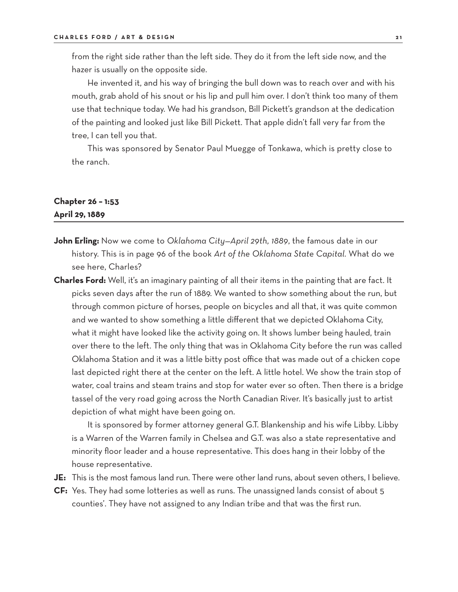from the right side rather than the left side. They do it from the left side now, and the hazer is usually on the opposite side.

 He invented it, and his way of bringing the bull down was to reach over and with his mouth, grab ahold of his snout or his lip and pull him over. I don't think too many of them use that technique today. We had his grandson, Bill Pickett's grandson at the dedication of the painting and looked just like Bill Pickett. That apple didn't fall very far from the tree, I can tell you that.

 This was sponsored by Senator Paul Muegge of Tonkawa, which is pretty close to the ranch.

#### **Chapter 26 – 1:53 April 29, 1889**

- **John Erling:** Now we come to *Oklahoma City—April 29th, 1889*, the famous date in our history. This is in page 96 of the book *Art of the Oklahoma State Capital*. What do we see here, Charles?
- **Charles Ford:** Well, it's an imaginary painting of all their items in the painting that are fact. It picks seven days after the run of 1889. We wanted to show something about the run, but through common picture of horses, people on bicycles and all that, it was quite common and we wanted to show something a little different that we depicted Oklahoma City, what it might have looked like the activity going on. It shows lumber being hauled, train over there to the left. The only thing that was in Oklahoma City before the run was called Oklahoma Station and it was a little bitty post office that was made out of a chicken cope last depicted right there at the center on the left. A little hotel. We show the train stop of water, coal trains and steam trains and stop for water ever so often. Then there is a bridge tassel of the very road going across the North Canadian River. It's basically just to artist depiction of what might have been going on.

 It is sponsored by former attorney general G.T. Blankenship and his wife Libby. Libby is a Warren of the Warren family in Chelsea and G.T. was also a state representative and minority floor leader and a house representative. This does hang in their lobby of the house representative.

- **JE:** This is the most famous land run. There were other land runs, about seven others, I believe.
- **CF:** Yes. They had some lotteries as well as runs. The unassigned lands consist of about 5 counties'. They have not assigned to any Indian tribe and that was the first run.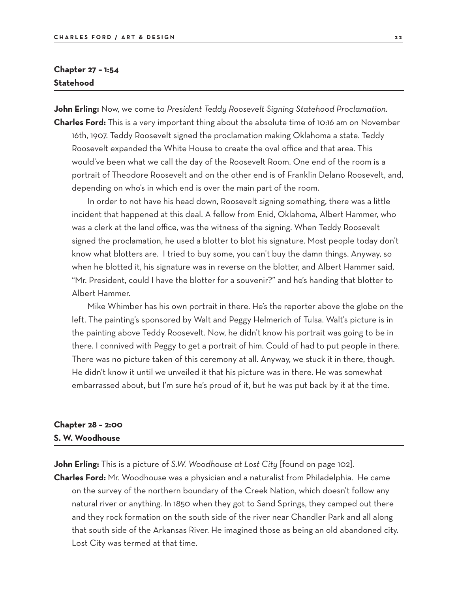## **Chapter 27 – 1:54 Statehood**

**John Erling:** Now, we come to *President Teddy Roosevelt Signing Statehood Proclamation*. **Charles Ford:** This is a very important thing about the absolute time of 10:16 am on November

16th, 1907. Teddy Roosevelt signed the proclamation making Oklahoma a state. Teddy Roosevelt expanded the White House to create the oval office and that area. This would've been what we call the day of the Roosevelt Room. One end of the room is a portrait of Theodore Roosevelt and on the other end is of Franklin Delano Roosevelt, and, depending on who's in which end is over the main part of the room.

 In order to not have his head down, Roosevelt signing something, there was a little incident that happened at this deal. A fellow from Enid, Oklahoma, Albert Hammer, who was a clerk at the land office, was the witness of the signing. When Teddy Roosevelt signed the proclamation, he used a blotter to blot his signature. Most people today don't know what blotters are. I tried to buy some, you can't buy the damn things. Anyway, so when he blotted it, his signature was in reverse on the blotter, and Albert Hammer said, "Mr. President, could I have the blotter for a souvenir?" and he's handing that blotter to Albert Hammer.

 Mike Whimber has his own portrait in there. He's the reporter above the globe on the left. The painting's sponsored by Walt and Peggy Helmerich of Tulsa. Walt's picture is in the painting above Teddy Roosevelt. Now, he didn't know his portrait was going to be in there. I connived with Peggy to get a portrait of him. Could of had to put people in there. There was no picture taken of this ceremony at all. Anyway, we stuck it in there, though. He didn't know it until we unveiled it that his picture was in there. He was somewhat embarrassed about, but I'm sure he's proud of it, but he was put back by it at the time.

### **Chapter 28 – 2:00 S. W. Woodhouse**

**John Erling:** This is a picture of *S.W. Woodhouse at Lost City* [found on page 102].

**Charles Ford:** Mr. Woodhouse was a physician and a naturalist from Philadelphia. He came on the survey of the northern boundary of the Creek Nation, which doesn't follow any natural river or anything. In 1850 when they got to Sand Springs, they camped out there and they rock formation on the south side of the river near Chandler Park and all along that south side of the Arkansas River. He imagined those as being an old abandoned city. Lost City was termed at that time.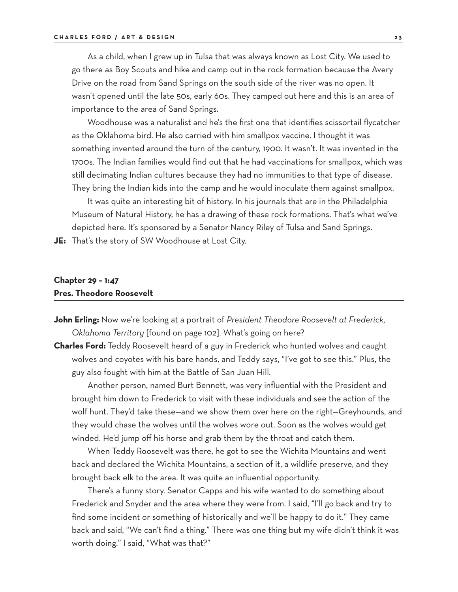As a child, when I grew up in Tulsa that was always known as Lost City. We used to go there as Boy Scouts and hike and camp out in the rock formation because the Avery Drive on the road from Sand Springs on the south side of the river was no open. It wasn't opened until the late 50s, early 60s. They camped out here and this is an area of importance to the area of Sand Springs.

 Woodhouse was a naturalist and he's the first one that identifies scissortail flycatcher as the Oklahoma bird. He also carried with him smallpox vaccine. I thought it was something invented around the turn of the century, 1900. It wasn't. It was invented in the 1700s. The Indian families would find out that he had vaccinations for smallpox, which was still decimating Indian cultures because they had no immunities to that type of disease. They bring the Indian kids into the camp and he would inoculate them against smallpox.

 It was quite an interesting bit of history. In his journals that are in the Philadelphia Museum of Natural History, he has a drawing of these rock formations. That's what we've depicted here. It's sponsored by a Senator Nancy Riley of Tulsa and Sand Springs.

**JE:** That's the story of SW Woodhouse at Lost City.

#### **Chapter 29 – 1:47 Pres. Theodore Roosevelt**

- **John Erling:** Now we're looking at a portrait of *President Theodore Roosevelt at Frederick, Oklahoma Territory* [found on page 102]. What's going on here?
- **Charles Ford:** Teddy Roosevelt heard of a guy in Frederick who hunted wolves and caught wolves and coyotes with his bare hands, and Teddy says, "I've got to see this." Plus, the guy also fought with him at the Battle of San Juan Hill.

 Another person, named Burt Bennett, was very influential with the President and brought him down to Frederick to visit with these individuals and see the action of the wolf hunt. They'd take these—and we show them over here on the right—Greyhounds, and they would chase the wolves until the wolves wore out. Soon as the wolves would get winded. He'd jump off his horse and grab them by the throat and catch them.

 When Teddy Roosevelt was there, he got to see the Wichita Mountains and went back and declared the Wichita Mountains, a section of it, a wildlife preserve, and they brought back elk to the area. It was quite an influential opportunity.

 There's a funny story. Senator Capps and his wife wanted to do something about Frederick and Snyder and the area where they were from. I said, "I'll go back and try to find some incident or something of historically and we'll be happy to do it." They came back and said, "We can't find a thing." There was one thing but my wife didn't think it was worth doing." I said, "What was that?"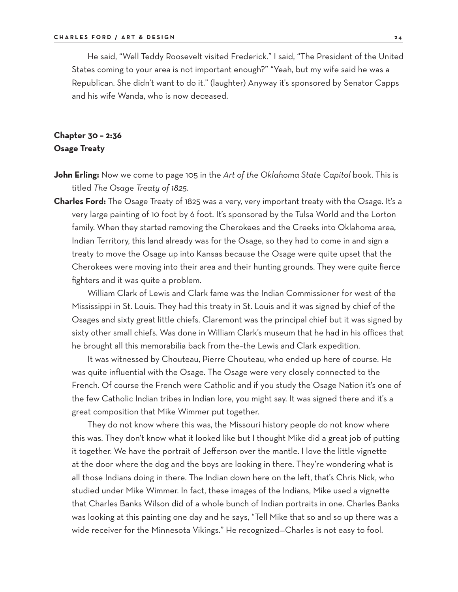He said, "Well Teddy Roosevelt visited Frederick." I said, "The President of the United States coming to your area is not important enough?" "Yeah, but my wife said he was a Republican. She didn't want to do it." (laughter) Anyway it's sponsored by Senator Capps and his wife Wanda, who is now deceased.

#### **Chapter 30 – 2:36 Osage Treaty**

- **John Erling:** Now we come to page 105 in the *Art of the Oklahoma State Capitol* book. This is titled *The Osage Treaty of 1825*.
- **Charles Ford:** The Osage Treaty of 1825 was a very, very important treaty with the Osage. It's a very large painting of 10 foot by 6 foot. It's sponsored by the Tulsa World and the Lorton family. When they started removing the Cherokees and the Creeks into Oklahoma area, Indian Territory, this land already was for the Osage, so they had to come in and sign a treaty to move the Osage up into Kansas because the Osage were quite upset that the Cherokees were moving into their area and their hunting grounds. They were quite fierce fighters and it was quite a problem.

 William Clark of Lewis and Clark fame was the Indian Commissioner for west of the Mississippi in St. Louis. They had this treaty in St. Louis and it was signed by chief of the Osages and sixty great little chiefs. Claremont was the principal chief but it was signed by sixty other small chiefs. Was done in William Clark's museum that he had in his offices that he brought all this memorabilia back from the–the Lewis and Clark expedition.

 It was witnessed by Chouteau, Pierre Chouteau, who ended up here of course. He was quite influential with the Osage. The Osage were very closely connected to the French. Of course the French were Catholic and if you study the Osage Nation it's one of the few Catholic Indian tribes in Indian lore, you might say. It was signed there and it's a great composition that Mike Wimmer put together.

 They do not know where this was, the Missouri history people do not know where this was. They don't know what it looked like but I thought Mike did a great job of putting it together. We have the portrait of Jefferson over the mantle. I love the little vignette at the door where the dog and the boys are looking in there. They're wondering what is all those Indians doing in there. The Indian down here on the left, that's Chris Nick, who studied under Mike Wimmer. In fact, these images of the Indians, Mike used a vignette that Charles Banks Wilson did of a whole bunch of Indian portraits in one. Charles Banks was looking at this painting one day and he says, "Tell Mike that so and so up there was a wide receiver for the Minnesota Vikings." He recognized—Charles is not easy to fool.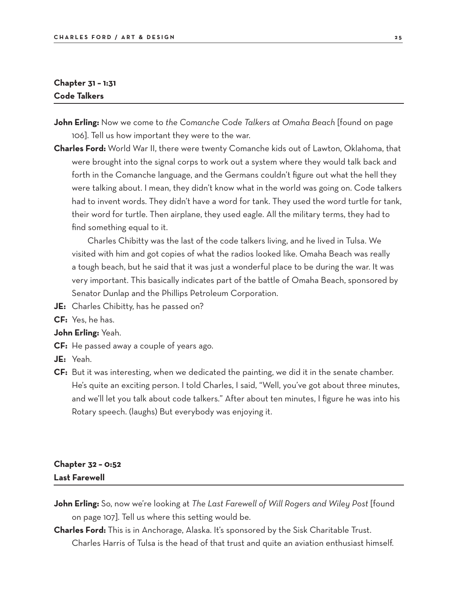## **Chapter 31 – 1:31 Code Talkers**

- **John Erling:** Now we come to *the Comanche Code Talkers at Omaha Beach* [found on page 106]. Tell us how important they were to the war.
- **Charles Ford:** World War II, there were twenty Comanche kids out of Lawton, Oklahoma, that were brought into the signal corps to work out a system where they would talk back and forth in the Comanche language, and the Germans couldn't figure out what the hell they were talking about. I mean, they didn't know what in the world was going on. Code talkers had to invent words. They didn't have a word for tank. They used the word turtle for tank, their word for turtle. Then airplane, they used eagle. All the military terms, they had to find something equal to it.

 Charles Chibitty was the last of the code talkers living, and he lived in Tulsa. We visited with him and got copies of what the radios looked like. Omaha Beach was really a tough beach, but he said that it was just a wonderful place to be during the war. It was very important. This basically indicates part of the battle of Omaha Beach, sponsored by Senator Dunlap and the Phillips Petroleum Corporation.

- **JE:** Charles Chibitty, has he passed on?
- **CF:** Yes, he has.

#### **John Erling:** Yeah.

- **CF:** He passed away a couple of years ago.
- **JE:** Yeah.
- **CF:** But it was interesting, when we dedicated the painting, we did it in the senate chamber. He's quite an exciting person. I told Charles, I said, "Well, you've got about three minutes, and we'll let you talk about code talkers." After about ten minutes, I figure he was into his Rotary speech. (laughs) But everybody was enjoying it.

## **Chapter 32 – 0:52 Last Farewell**

- **John Erling:** So, now we're looking at *The Last Farewell of Will Rogers and Wiley Post* [found on page 107]. Tell us where this setting would be.
- **Charles Ford:** This is in Anchorage, Alaska. It's sponsored by the Sisk Charitable Trust. Charles Harris of Tulsa is the head of that trust and quite an aviation enthusiast himself.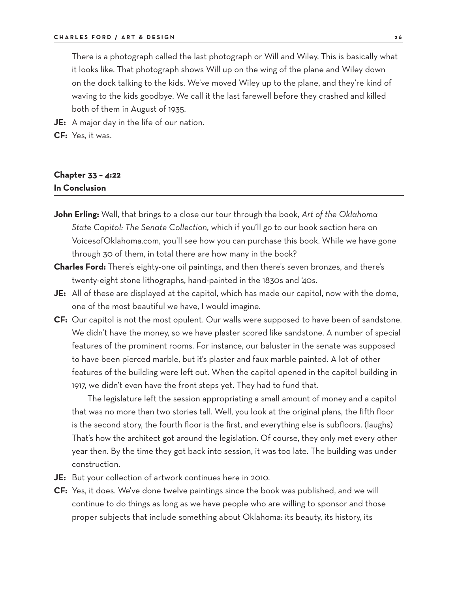There is a photograph called the last photograph or Will and Wiley. This is basically what it looks like. That photograph shows Will up on the wing of the plane and Wiley down on the dock talking to the kids. We've moved Wiley up to the plane, and they're kind of waving to the kids goodbye. We call it the last farewell before they crashed and killed both of them in August of 1935.

- **JE:** A major day in the life of our nation.
- **CF:** Yes, it was.

## **Chapter 33 – 4:22 In Conclusion**

- **John Erling:** Well, that brings to a close our tour through the book, *Art of the Oklahoma State Capitol: The Senate Collection,* which if you'll go to our book section here on VoicesofOklahoma.com, you'll see how you can purchase this book. While we have gone through 30 of them, in total there are how many in the book?
- **Charles Ford:** There's eighty-one oil paintings, and then there's seven bronzes, and there's twenty-eight stone lithographs, hand-painted in the 1830s and '40s.
- **JE:** All of these are displayed at the capitol, which has made our capitol, now with the dome, one of the most beautiful we have, I would imagine.
- **CF:** Our capitol is not the most opulent. Our walls were supposed to have been of sandstone. We didn't have the money, so we have plaster scored like sandstone. A number of special features of the prominent rooms. For instance, our baluster in the senate was supposed to have been pierced marble, but it's plaster and faux marble painted. A lot of other features of the building were left out. When the capitol opened in the capitol building in 1917, we didn't even have the front steps yet. They had to fund that.

The legislature left the session appropriating a small amount of money and a capitol that was no more than two stories tall. Well, you look at the original plans, the fifth floor is the second story, the fourth floor is the first, and everything else is subfloors. (laughs) That's how the architect got around the legislation. Of course, they only met every other year then. By the time they got back into session, it was too late. The building was under construction.

- **JE:** But your collection of artwork continues here in 2010.
- **CF:** Yes, it does. We've done twelve paintings since the book was published, and we will continue to do things as long as we have people who are willing to sponsor and those proper subjects that include something about Oklahoma: its beauty, its history, its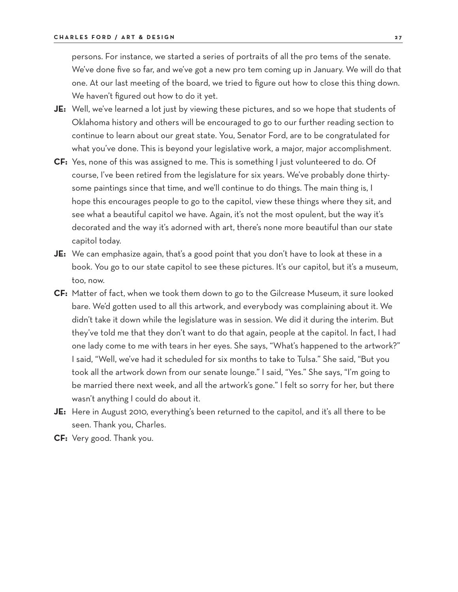persons. For instance, we started a series of portraits of all the pro tems of the senate. We've done five so far, and we've got a new pro tem coming up in January. We will do that one. At our last meeting of the board, we tried to figure out how to close this thing down. We haven't figured out how to do it yet.

- **JE:** Well, we've learned a lot just by viewing these pictures, and so we hope that students of Oklahoma history and others will be encouraged to go to our further reading section to continue to learn about our great state. You, Senator Ford, are to be congratulated for what you've done. This is beyond your legislative work, a major, major accomplishment.
- **CF:** Yes, none of this was assigned to me. This is something I just volunteered to do. Of course, I've been retired from the legislature for six years. We've probably done thirtysome paintings since that time, and we'll continue to do things. The main thing is, I hope this encourages people to go to the capitol, view these things where they sit, and see what a beautiful capitol we have. Again, it's not the most opulent, but the way it's decorated and the way it's adorned with art, there's none more beautiful than our state capitol today.
- **JE:** We can emphasize again, that's a good point that you don't have to look at these in a book. You go to our state capitol to see these pictures. It's our capitol, but it's a museum, too, now.
- **CF:** Matter of fact, when we took them down to go to the Gilcrease Museum, it sure looked bare. We'd gotten used to all this artwork, and everybody was complaining about it. We didn't take it down while the legislature was in session. We did it during the interim. But they've told me that they don't want to do that again, people at the capitol. In fact, I had one lady come to me with tears in her eyes. She says, "What's happened to the artwork?" I said, "Well, we've had it scheduled for six months to take to Tulsa." She said, "But you took all the artwork down from our senate lounge." I said, "Yes." She says, "I'm going to be married there next week, and all the artwork's gone." I felt so sorry for her, but there wasn't anything I could do about it.
- **JE:** Here in August 2010, everything's been returned to the capitol, and it's all there to be seen. Thank you, Charles.
- **CF:** Very good. Thank you.